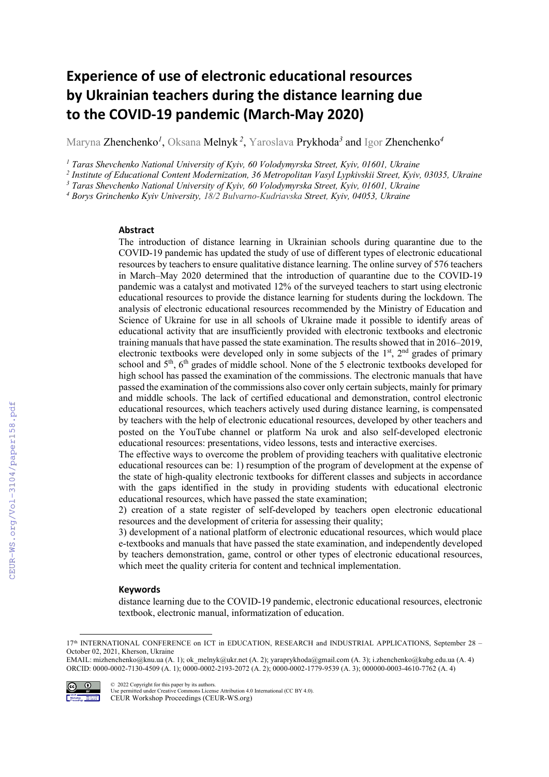# Experience of use of electronic educational resources by Ukrainian teachers during the distance learning due to the COVID-19 pandemic (March-May 2020)

Maryna Zhenchenko*<sup>1</sup>* , Oksana Melnyk *<sup>2</sup>* , Yaroslava Prykhoda*<sup>3</sup>* and Igor Zhenchenko*<sup>4</sup>*

<sup>1</sup> Taras Shevchenko National University of Kyiv, 60 Volodymyrska Street, Kyiv, 01601, Ukraine

*2 Institute of Educational Content Modernization, 36 Metropolitan Vasyl Lypkivskii Street, Kyiv, 03035, Ukraine* 

<sup>3</sup> Taras Shevchenko National University of Kyiv, 60 Volodymyrska Street, Kyiv, 01601, Ukraine

*4 Borys Grinchenko Kyiv University, 18/2 Bulvarno-Kudriavska Street, Kyiv, 04053, Ukraine* 

#### Abstract

The introduction of distance learning in Ukrainian schools during quarantine due to the COVID-19 pandemic has updated the study of use of different types of electronic educational resources by teachers to ensure qualitative distance learning. The online survey of 576 teachers in March–May 2020 determined that the introduction of quarantine due to the COVID-19 pandemic was a catalyst and motivated 12% of the surveyed teachers to start using electronic educational resources to provide the distance learning for students during the lockdown. The analysis of electronic educational resources recommended by the Ministry of Education and Science of Ukraine for use in all schools of Ukraine made it possible to identify areas of educational activity that are insufficiently provided with electronic textbooks and electronic training manuals that have passed the state examination. The results showed that in 2016–2019, electronic textbooks were developed only in some subjects of the  $1<sup>st</sup>$ ,  $2<sup>nd</sup>$  grades of primary school and 5<sup>th</sup>, 6<sup>th</sup> grades of middle school. None of the 5 electronic textbooks developed for high school has passed the examination of the commissions. The electronic manuals that have passed the examination of the commissions also cover only certain subjects, mainly for primary and middle schools. The lack of certified educational and demonstration, control electronic educational resources, which teachers actively used during distance learning, is compensated by teachers with the help of electronic educational resources, developed by other teachers and posted on the YouTube channel or platform Na urok and also self-developed electronic educational resources: presentations, video lessons, tests and interactive exercises.

The effective ways to overcome the problem of providing teachers with qualitative electronic educational resources can be: 1) resumption of the program of development at the expense of the state of high-quality electronic textbooks for different classes and subjects in accordance with the gaps identified in the study in providing students with educational electronic educational resources, which have passed the state examination;

2) creation of a state register of self-developed by teachers open electronic educational resources and the development of criteria for assessing their quality;

3) development of a national platform of electronic educational resources, which would place e-textbooks and manuals that have passed the state examination, and independently developed by teachers demonstration, game, control or other types of electronic educational resources, which meet the quality criteria for content and technical implementation.

#### **Keywords**

distance learning due to the COVID-19 pandemic, electronic educational resources, electronic textbook, electronic manual, informatization of education.

EMAIL: mizhenchenko@knu.ua (A. 1); ok\_melnyk@ukr.net (A. 2); yaraprykhoda@gmail.com (A. 3); i.zhenchenko@kubg.edu.ua (A. 4) ORCID: 0000-0002-7130-4509 (A. 1); 0000-0002-2193-2072 (A. 2); 0000-0002-1779-9539 (A. 3); 000000-0003-4610-7762 (A. 4)



© 2022 Copyright for this paper by its authors. Use permitted under Creative Commons License Attribution 4.0 International (CC BY 4.0). CEUR Workshop Proceedings (CEUR-WS.org)

<sup>17&</sup>lt;sup>th</sup> INTERNATIONAL CONFERENCE on ICT in EDUCATION, RESEARCH and INDUSTRIAL APPLICATIONS, September 28 -October 02, 2021, Kherson, Ukraine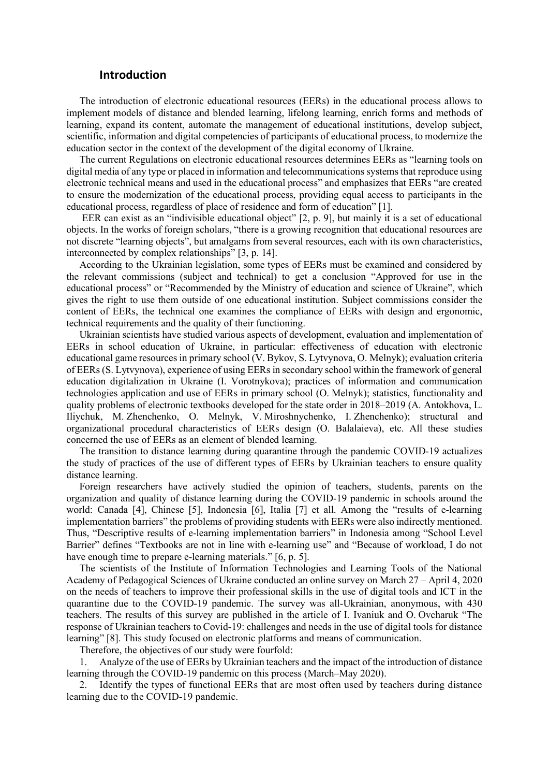### Introduction

The introduction of electronic educational resources (EERs) in the educational process allows to implement models of distance and blended learning, lifelong learning, enrich forms and methods of learning, expand its content, automate the management of educational institutions, develop subject, scientific, information and digital competencies of participants of educational process, to modernize the education sector in the context of the development of the digital economy of Ukraine.

The current Regulations on electronic educational resources determines EERs as "learning tools on digital media of any type or placed in information and telecommunications systems that reproduce using electronic technical means and used in the educational process" and emphasizes that EERs "are created to ensure the modernization of the educational process, providing equal access to participants in the educational process, regardless of place of residence and form of education" [1].

EER can exist as an "indivisible educational object" [2, p. 9], but mainly it is a set of educational objects. In the works of foreign scholars, "there is a growing recognition that educational resources are not discrete "learning objects", but amalgams from several resources, each with its own characteristics, interconnected by complex relationships" [3, p. 14].

According to the Ukrainian legislation, some types of EERs must be examined and considered by the relevant commissions (subject and technical) to get a conclusion "Approved for use in the educational process" or "Recommended by the Ministry of education and science of Ukraine", which gives the right to use them outside of one educational institution. Subject commissions consider the content of EERs, the technical one examines the compliance of EERs with design and ergonomic, technical requirements and the quality of their functioning.

Ukrainian scientists have studied various aspects of development, evaluation and implementation of EERs in school education of Ukraine, in particular: effectiveness of education with electronic educational game resources in primary school (V. Bykov, S. Lytvynova, O. Melnyk); evaluation criteria of EERs (S. Lytvynova), experience of using EERs in secondary school within the framework of general education digitalization in Ukraine (I. Vorotnykova); practices of information and communication technologies application and use of EERs in primary school (O. Melnyk); statistics, functionality and quality problems of electronic textbooks developed for the state order in 2018–2019 (A. Antokhova, L. Iliychuk, M. Zhenchenko, O. Melnyk, V. Miroshnychenko, I. Zhenchenko); structural and organizational procedural characteristics of EERs design (O. Balalaieva), etc. All these studies concerned the use of EERs as an element of blended learning.

The transition to distance learning during quarantine through the pandemic COVID-19 actualizes the study of practices of the use of different types of EERs by Ukrainian teachers to ensure quality distance learning.

Foreign researchers have actively studied the opinion of teachers, students, parents on the organization and quality of distance learning during the COVID-19 pandemic in schools around the world: Canada [4], Chinese [5], Indonesia [6], Italia [7] et all. Among the "results of e-learning implementation barriers" the problems of providing students with EERs were also indirectly mentioned. Thus, "Descriptive results of e-learning implementation barriers" in Indonesia among "School Level Barrier" defines "Textbooks are not in line with e-learning use" and "Because of workload, I do not have enough time to prepare e-learning materials." [6, p. 5].

The scientists of the Institute of Information Technologies and Learning Tools of the National Academy of Pedagogical Sciences of Ukraine conducted an online survey on March 27 – April 4, 2020 on the needs of teachers to improve their professional skills in the use of digital tools and ICT in the quarantine due to the COVID-19 pandemic. The survey was all-Ukrainian, anonymous, with 430 teachers. The results of this survey are published in the article of I. Ivaniuk and O. Ovcharuk "The response of Ukrainian teachers to Сovid-19: challenges and needs in the use of digital tools for distance learning" [8]. This study focused on electronic platforms and means of communication.

Therefore, the objectives of our study were fourfold:

1. Analyze of the use of EERs by Ukrainian teachers and the impact of the introduction of distance learning through the COVID-19 pandemic on this process (March–May 2020).

2. Identify the types of functional EERs that are most often used by teachers during distance learning due to the COVID-19 pandemic.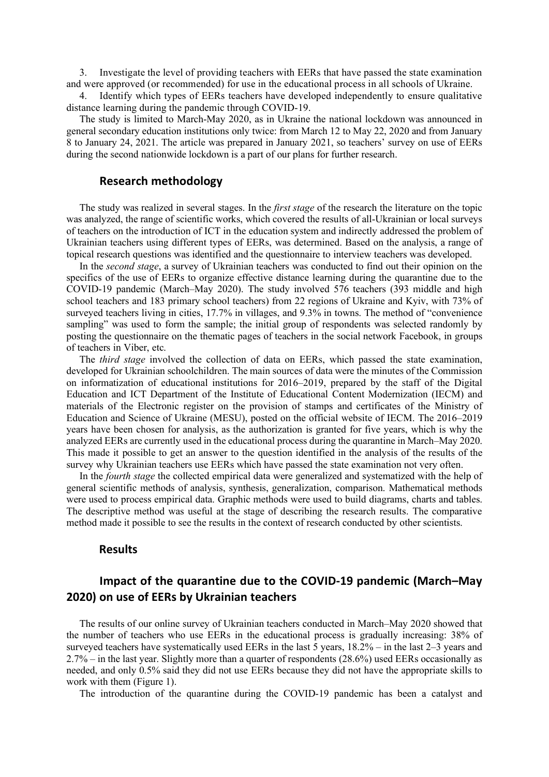3. Investigate the level of providing teachers with EERs that have passed the state examination and were approved (or recommended) for use in the educational process in all schools of Ukraine.

4. Identify which types of EERs teachers have developed independently to ensure qualitative distance learning during the pandemic through COVID-19.

The study is limited to March-May 2020, as in Ukraine the national lockdown was announced in general secondary education institutions only twice: from March 12 to May 22, 2020 and from January 8 to January 24, 2021. The article was prepared in January 2021, so teachers' survey on use of EERs during the second nationwide lockdown is a part of our plans for further research.

### Research methodology

The study was realized in several stages. In the *first stage* of the research the literature on the topic was analyzed, the range of scientific works, which covered the results of all-Ukrainian or local surveys of teachers on the introduction of ICT in the education system and indirectly addressed the problem of Ukrainian teachers using different types of EERs, was determined. Based on the analysis, a range of topical research questions was identified and the questionnaire to interview teachers was developed.

In the *second stage*, a survey of Ukrainian teachers was conducted to find out their opinion on the specifics of the use of EERs to organize effective distance learning during the quarantine due to the COVID-19 pandemic (March–May 2020). The study involved 576 teachers (393 middle and high school teachers and 183 primary school teachers) from 22 regions of Ukraine and Kyiv, with 73% of surveyed teachers living in cities, 17.7% in villages, and 9.3% in towns. The method of "convenience sampling" was used to form the sample; the initial group of respondents was selected randomly by posting the questionnaire on the thematic pages of teachers in the social network Facebook, in groups of teachers in Viber, etc.

The *third stage* involved the collection of data on EERs, which passed the state examination, developed for Ukrainian schoolchildren. The main sources of data were the minutes of the Commission on informatization of educational institutions for 2016–2019, prepared by the staff of the Digital Education and ICT Department of the Institute of Educational Content Modernization (IECM) and materials of the Electronic register on the provision of stamps and certificates of the Ministry of Education and Science of Ukraine (MESU), posted on the official website of IECM. The 2016–2019 years have been chosen for analysis, as the authorization is granted for five years, which is why the analyzed EERs are currently used in the educational process during the quarantine in March–May 2020. This made it possible to get an answer to the question identified in the analysis of the results of the survey why Ukrainian teachers use EERs which have passed the state examination not very often.

In the *fourth stage* the collected empirical data were generalized and systematized with the help of general scientific methods of analysis, synthesis, generalization, comparison. Mathematical methods were used to process empirical data. Graphic methods were used to build diagrams, charts and tables. The descriptive method was useful at the stage of describing the research results. The comparative method made it possible to see the results in the context of research conducted by other scientists.

## **Results**

# Impact of the quarantine due to the COVID-19 pandemic (March–May 2020) on use of EERs by Ukrainian teachers

The results of our online survey of Ukrainian teachers conducted in March–May 2020 showed that the number of teachers who use EERs in the educational process is gradually increasing: 38% of surveyed teachers have systematically used EERs in the last 5 years, 18.2% – in the last 2–3 years and 2.7% – in the last year. Slightly more than a quarter of respondents (28.6%) used EERs occasionally as needed, and only 0.5% said they did not use EERs because they did not have the appropriate skills to work with them (Figure 1).

The introduction of the quarantine during the COVID-19 pandemic has been a catalyst and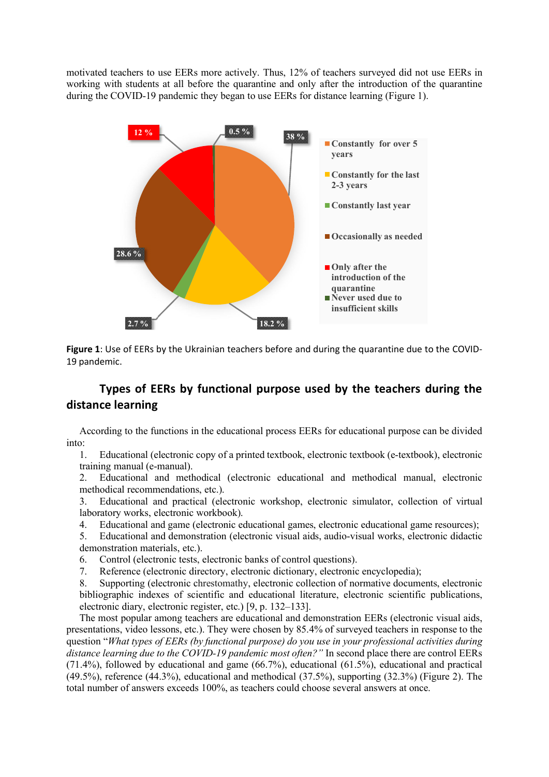motivated teachers to use EERs more actively. Thus, 12% of teachers surveyed did not use EERs in working with students at all before the quarantine and only after the introduction of the quarantine during the COVID-19 pandemic they began to use EERs for distance learning (Figure 1).



Figure 1: Use of EERs by the Ukrainian teachers before and during the quarantine due to the COVID-19 pandemic.

# Types of EERs by functional purpose used by the teachers during the distance learning

According to the functions in the educational process EERs for educational purpose can be divided into:

1. Educational (electronic copy of a printed textbook, electronic textbook (e-textbook), electronic training manual (e-manual).

2. Educational and methodical (electronic educational and methodical manual, electronic methodical recommendations, etc.).

3. Educational and practical (electronic workshop, electronic simulator, collection of virtual laboratory works, electronic workbook).

4. Educational and game (electronic educational games, electronic educational game resources);

5. Educational and demonstration (electronic visual aids, audio-visual works, electronic didactic demonstration materials, etc.).

6. Control (electronic tests, electronic banks of control questions).

7. Reference (electronic directory, electronic dictionary, electronic encyclopedia);

8. Supporting (electronic chrestomathy, electronic collection of normative documents, electronic bibliographic indexes of scientific and educational literature, electronic scientific publications, electronic diary, electronic register, etc.) [9, p. 132–133].

The most popular among teachers are educational and demonstration EERs (electronic visual aids, presentations, video lessons, etc.). They were chosen by 85.4% of surveyed teachers in response to the question "*What types of EERs (by functional purpose) do you use in your professional activities during distance learning due to the COVID-19 pandemic most often?"* In second place there are control EERs (71.4%), followed by educational and game (66.7%), educational (61.5%), educational and practical (49.5%), reference (44.3%), educational and methodical (37.5%), supporting (32.3%) (Figure 2). The total number of answers exceeds 100%, as teachers could choose several answers at once.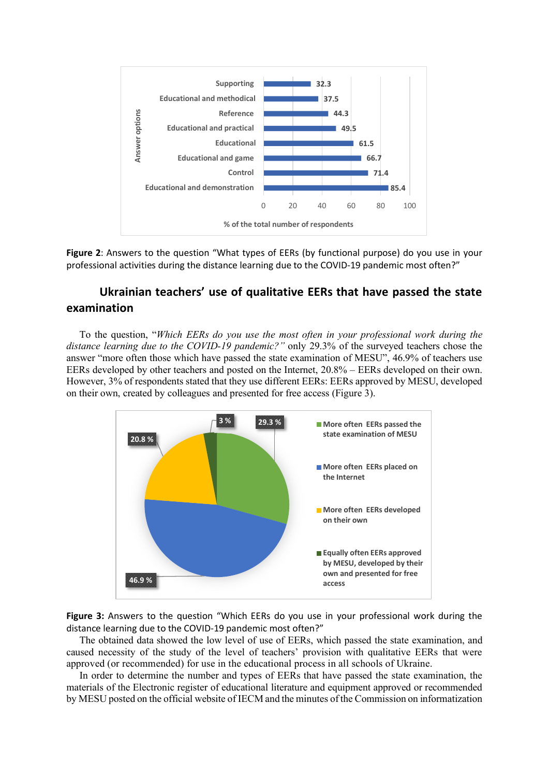

Figure 2: Answers to the question "What types of EERs (by functional purpose) do you use in your professional activities during the distance learning due to the COVID-19 pandemic most often?"

# Ukrainian teachers' use of qualitative EERs that have passed the state examination

To the question, "*Which EERs do you use the most often in your professional work during the distance learning due to the COVID-19 pandemic?"* only 29.3% of the surveyed teachers chose the answer "more often those which have passed the state examination of MESU", 46.9% of teachers use EERs developed by other teachers and posted on the Internet, 20.8% – EERs developed on their own. However, 3% of respondents stated that they use different EERs: EERs approved by MESU, developed on their own, created by colleagues and presented for free access (Figure 3).



Figure 3: Answers to the question "Which EERs do you use in your professional work during the distance learning due to the COVID-19 pandemic most often?"

The obtained data showed the low level of use of EERs, which passed the state examination, and caused necessity of the study of the level of teachers' provision with qualitative EERs that were approved (or recommended) for use in the educational process in all schools of Ukraine.

In order to determine the number and types of EERs that have passed the state examination, the materials of the Electronic register of educational literature and equipment approved or recommended by MESU posted on the official website of IECM and the minutes of the Commission on informatization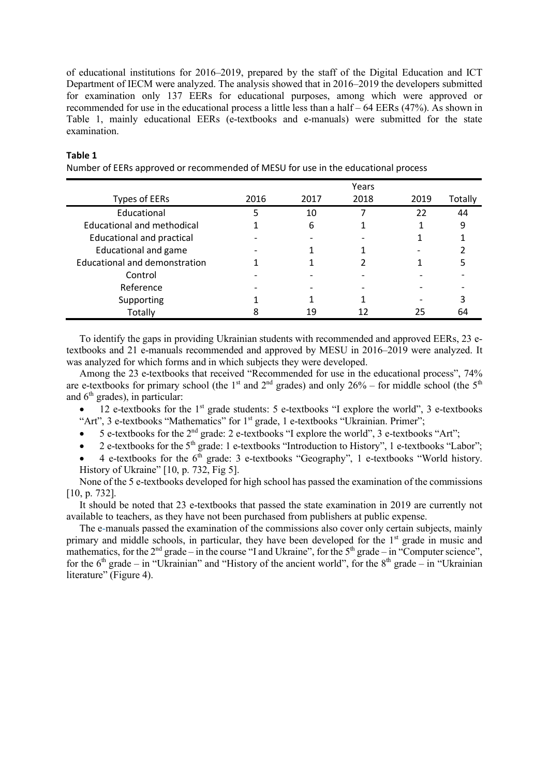of educational institutions for 2016–2019, prepared by the staff of the Digital Education and ICT Department of IECM were analyzed. The analysis showed that in 2016–2019 the developers submitted for examination only 137 EERs for educational purposes, among which were approved or recommended for use in the educational process a little less than a half – 64 EERs (47%). As shown in Table 1, mainly educational EERs (e-textbooks and e-manuals) were submitted for the state examination.

|                                   |      |      | Years |      |         |
|-----------------------------------|------|------|-------|------|---------|
| <b>Types of EERs</b>              | 2016 | 2017 | 2018  | 2019 | Totally |
| Educational                       |      | 10   |       | 22   | 44      |
| <b>Educational and methodical</b> |      | 6    |       |      | 9       |
| <b>Educational and practical</b>  |      |      |       |      |         |
| <b>Educational and game</b>       |      |      |       |      |         |
| Educational and demonstration     |      |      |       |      |         |
| Control                           |      |      |       |      |         |
| Reference                         |      |      |       |      |         |
| Supporting                        |      |      |       |      |         |
| Totally                           |      | 19   |       | 25   | h۵      |

#### Table 1

Number of EERs approved or recommended of MESU for use in the educational process

To identify the gaps in providing Ukrainian students with recommended and approved EERs, 23 etextbooks and 21 e-manuals recommended and approved by MESU in 2016–2019 were analyzed. It was analyzed for which forms and in which subjects they were developed.

Among the 23 e-textbooks that received "Recommended for use in the educational process", 74% are e-textbooks for primary school (the 1<sup>st</sup> and 2<sup>nd</sup> grades) and only 26% – for middle school (the 5<sup>th</sup>) and  $6<sup>th</sup>$  grades), in particular:

12 e-textbooks for the 1<sup>st</sup> grade students: 5 e-textbooks "I explore the world", 3 e-textbooks "Art", 3 e-textbooks "Mathematics" for 1<sup>st</sup> grade, 1 e-textbooks "Ukrainian. Primer";

 $\bullet$  5 e-textbooks for the 2<sup>nd</sup> grade: 2 e-textbooks "I explore the world", 3 e-textbooks "Art";

 $\bullet$  2 e-textbooks for the 5<sup>th</sup> grade: 1 e-textbooks "Introduction to History", 1 e-textbooks "Labor";

4 e-textbooks for the  $6<sup>th</sup>$  grade: 3 e-textbooks "Geography", 1 e-textbooks "World history. History of Ukraine" [10, p. 732, Fig 5].

None of the 5 e-textbooks developed for high school has passed the examination of the commissions [10, p. 732].

It should be noted that 23 e-textbooks that passed the state examination in 2019 are currently not available to teachers, as they have not been purchased from publishers at public expense.

The e-manuals passed the examination of the commissions also cover only certain subjects, mainly primary and middle schools, in particular, they have been developed for the 1<sup>st</sup> grade in music and mathematics, for the  $2<sup>nd</sup>$  grade – in the course "I and Ukraine", for the  $5<sup>th</sup>$  grade – in "Computer science", for the  $6<sup>th</sup>$  grade – in "Ukrainian" and "History of the ancient world", for the  $8<sup>th</sup>$  grade – in "Ukrainian" literature" (Figure 4).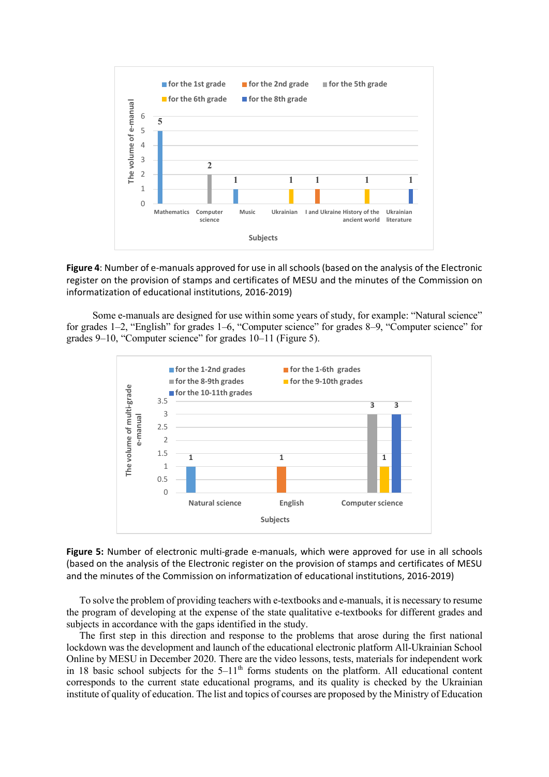

Figure 4: Number of e-manuals approved for use in all schools (based on the analysis of the Electronic register on the provision of stamps and certificates of MESU and the minutes of the Commission on informatization of educational institutions, 2016-2019)

Some e-manuals are designed for use within some years of study, for example: "Natural science" for grades 1–2, "English" for grades 1–6, "Computer science" for grades 8–9, "Computer science" for grades 9–10, "Computer science" for grades 10–11 (Figure 5).



Figure 5: Number of electronic multi-grade e-manuals, which were approved for use in all schools (based on the analysis of the Electronic register on the provision of stamps and certificates of MESU and the minutes of the Commission on informatization of educational institutions, 2016-2019)

To solve the problem of providing teachers with e-textbooks and e-manuals, it is necessary to resume the program of developing at the expense of the state qualitative e-textbooks for different grades and subjects in accordance with the gaps identified in the study.

The first step in this direction and response to the problems that arose during the first national lockdown was the development and launch of the educational electronic platform All-Ukrainian School Online by MESU in December 2020. There are the video lessons, tests, materials for independent work in 18 basic school subjects for the  $5-11<sup>th</sup>$  forms students on the platform. All educational content corresponds to the current state educational programs, and its quality is checked by the Ukrainian institute of quality of education. The list and topics of courses are proposed by the Ministry of Education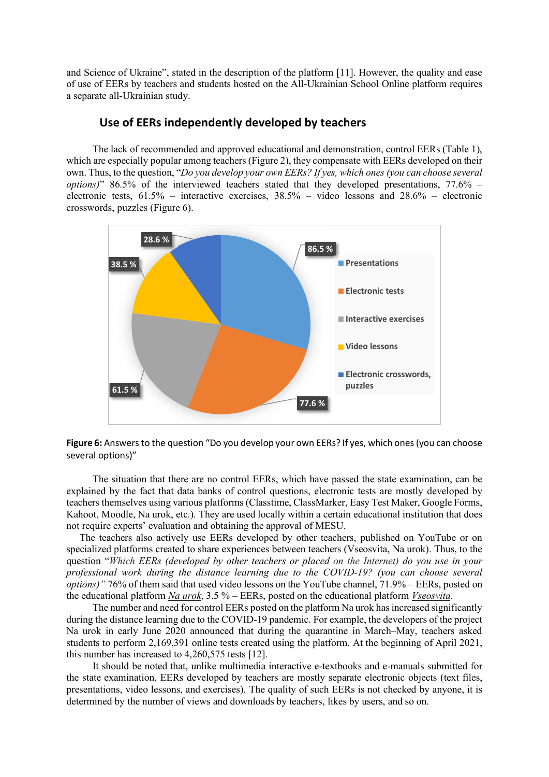and Science of Ukraine", stated in the description of the platform [11]. However, the quality and ease of use of EERs by teachers and students hosted on the All-Ukrainian School Online platform requires a separate all-Ukrainian study.

## Use of EERs independently developed by teachers

The lack of recommended and approved educational and demonstration, сontrol EERs (Table 1), which are especially popular among teachers (Figure 2), they compensate with EERs developed on their own. Thus, to the question, "*Do you develop your own EERs? If yes, which ones (you can choose several options)*" 86.5% of the interviewed teachers stated that they developed presentations, 77.6% – electronic tests, 61.5% – interactive exercises, 38.5% – video lessons and 28.6% – electronic crosswords, puzzles (Figure 6).



Figure 6: Answers to the question "Do you develop your own EERs? If yes, which ones (you can choose several options)"

The situation that there are no control EERs, which have passed the state examination, can be explained by the fact that data banks of control questions, electronic tests are mostly developed by teachers themselves using various platforms (Classtime, ClassMarker, Easy Test Maker, Google Forms, Kahoot, Moodle, Na urok, etc.). They are used locally within a certain educational institution that does not require experts' evaluation and obtaining the approval of MESU.

The teachers also actively use EERs developed by other teachers, published on YouTube or on specialized platforms created to share experiences between teachers (Vseosvita, Na urok). Thus, to the question "*Which EERs (developed by other teachers or placed on the Internet) do you use in your professional work during the distance learning due to the COVID-19? (you can choose several options)"* 76% of them said that used video lessons on the YouTube channel, 71.9% – EERs, posted on the educational platform *Na urok*, 3.5 % – EERs, posted on the educational platform *Vseosvita*.

The number and need for control EERs posted on the platform Na urok has increased significantly during the distance learning due to the COVID-19 pandemic. For example, the developers of the project Na urok in early June 2020 announced that during the quarantine in March–May, teachers asked students to perform 2,169,391 online tests created using the platform. At the beginning of April 2021, this number has increased to 4,260,575 tests [12].

It should be noted that, unlike multimedia interactive e-textbooks and e-manuals submitted for the state examination, EERs developed by teachers are mostly separate electronic objects (text files, presentations, video lessons, and exercises). The quality of such EERs is not checked by anyone, it is determined by the number of views and downloads by teachers, likes by users, and so on.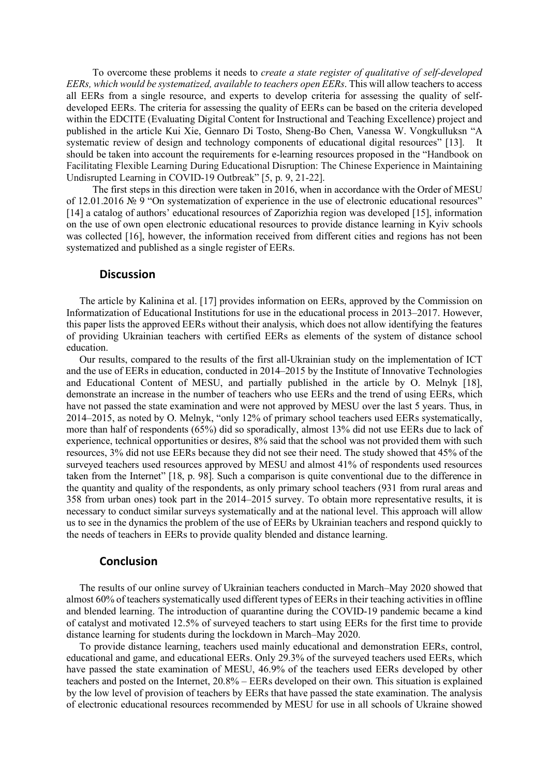To overcome these problems it needs to *create a state register of qualitative of self-developed EERs, which would be systematized, available to teachers open EERs*. This will allow teachers to access all EERs from a single resource, and experts to develop criteria for assessing the quality of selfdeveloped EERs. The criteria for assessing the quality of EERs can be based on the criteria developed within the EDCITE (Evaluating Digital Content for Instructional and Teaching Excellence) project and published in the article Kui Xie, Gennaro Di Tosto, Sheng-Bo Chen, Vanessa W. Vongkulluksn "A systematic review of design and technology components of educational digital resources" [13]. It should be taken into account the requirements for e-learning resources proposed in the "Handbook on Facilitating Flexible Learning During Educational Disruption: The Chinese Experience in Maintaining Undisrupted Learning in COVID-19 Outbreak" [5, p. 9, 21-22].

The first steps in this direction were taken in 2016, when in accordance with the Order of MESU of 12.01.2016 № 9 "On systematization of experience in the use of electronic educational resources" [14] a catalog of authors' educational resources of Zaporizhia region was developed [15], information on the use of own open electronic educational resources to provide distance learning in Kyiv schools was collected [16], however, the information received from different cities and regions has not been systematized and published as a single register of EERs.

### **Discussion**

The article by Kalinina et al. [17] provides information on EERs, approved by the Commission on Informatization of Educational Institutions for use in the educational process in 2013–2017. However, this paper lists the approved EERs without their analysis, which does not allow identifying the features of providing Ukrainian teachers with certified EERs as elements of the system of distance school education.

Our results, compared to the results of the first all-Ukrainian study on the implementation of ICT and the use of EERs in education, conducted in 2014–2015 by the Institute of Innovative Technologies and Educational Content of MESU, and partially published in the article by O. Melnyk [18], demonstrate an increase in the number of teachers who use EERs and the trend of using EERs, which have not passed the state examination and were not approved by MESU over the last 5 years. Thus, in 2014–2015, as noted by O. Melnyk, "only 12% of primary school teachers used EERs systematically, more than half of respondents (65%) did so sporadically, almost 13% did not use EERs due to lack of experience, technical opportunities or desires, 8% said that the school was not provided them with such resources, 3% did not use EERs because they did not see their need. The study showed that 45% of the surveyed teachers used resources approved by MESU and almost 41% of respondents used resources taken from the Internet" [18, p. 98]. Such a comparison is quite conventional due to the difference in the quantity and quality of the respondents, as only primary school teachers (931 from rural areas and 358 from urban ones) took part in the 2014–2015 survey. To obtain more representative results, it is necessary to conduct similar surveys systematically and at the national level. This approach will allow us to see in the dynamics the problem of the use of EERs by Ukrainian teachers and respond quickly to the needs of teachers in EERs to provide quality blended and distance learning.

### Conclusion

The results of our online survey of Ukrainian teachers conducted in March–May 2020 showed that almost 60% of teachers systematically used different types of EERs in their teaching activities in offline and blended learning. The introduction of quarantine during the COVID-19 pandemic became a kind of catalyst and motivated 12.5% of surveyed teachers to start using EERs for the first time to provide distance learning for students during the lockdown in March–May 2020.

To provide distance learning, teachers used mainly educational and demonstration EERs, control, educational and game, and educational EERs. Only 29.3% of the surveyed teachers used EERs, which have passed the state examination of MESU, 46.9% of the teachers used EERs developed by other teachers and posted on the Internet, 20.8% – EERs developed on their own. This situation is explained by the low level of provision of teachers by EERs that have passed the state examination. The analysis of electronic educational resources recommended by MESU for use in all schools of Ukraine showed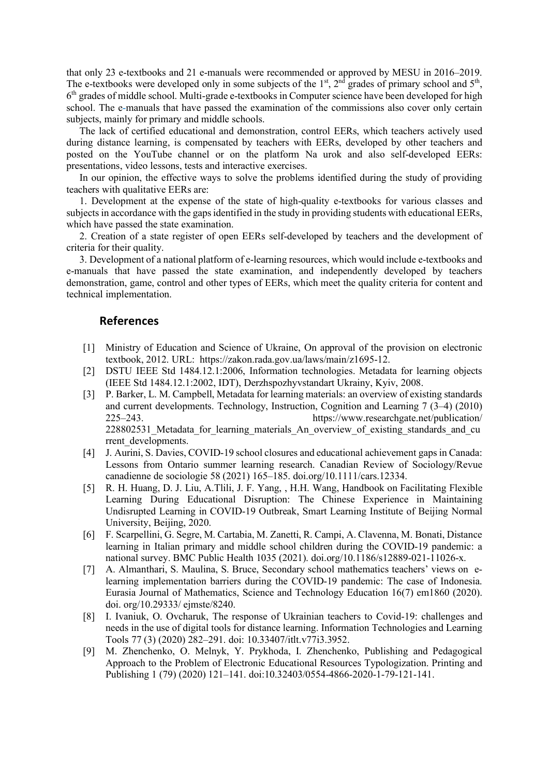that only 23 e-textbooks and 21 e-manuals were recommended or approved by MESU in 2016–2019. The e-textbooks were developed only in some subjects of the  $1<sup>st</sup>$ ,  $2<sup>nd</sup>$  grades of primary school and  $5<sup>th</sup>$ ,  $6<sup>th</sup>$  grades of middle school. Multi-grade e-textbooks in Computer science have been developed for high school. The e-manuals that have passed the examination of the commissions also cover only certain subjects, mainly for primary and middle schools.

The lack of certified educational and demonstration, control EERs, which teachers actively used during distance learning, is compensated by teachers with EERs, developed by other teachers and posted on the YouTube channel or on the platform Na urok and also self-developed EERs: presentations, video lessons, tests and interactive exercises.

In our opinion, the effective ways to solve the problems identified during the study of providing teachers with qualitative EERs are:

1. Development at the expense of the state of high-quality e-textbooks for various classes and subjects in accordance with the gaps identified in the study in providing students with educational EERs, which have passed the state examination.

2. Creation of a state register of open EERs self-developed by teachers and the development of criteria for their quality.

3. Development of a national platform of e-learning resources, which would include e-textbooks and e-manuals that have passed the state examination, and independently developed by teachers demonstration, game, control and other types of EERs, which meet the quality criteria for content and technical implementation.

### References

- [1] Ministry of Education and Science of Ukraine, On approval of the provision on electronic textbook, 2012. URL: https://zakon.rada.gov.ua/laws/main/z1695-12.
- [2] DSTU IEEE Std 1484.12.1:2006, Information technologies. Metadata for learning objects (IEEE Std 1484.12.1:2002, IDT), Derzhspozhyvstandart Ukrainy, Kyiv, 2008.
- [3] P. Barker, L. M. Campbell, Metadata for learning materials: an overview of existing standards and current developments. Technology, Instruction, Cognition and Learning 7 (3–4) (2010) 225–243. https://www.researchgate.net/publication/ 228802531\_Metadata\_for\_learning\_materials\_An\_overview\_of\_existing\_standards\_and\_cu rrent developments.
- [4] J. Aurini, S. Davies, COVID-19 school closures and educational achievement gaps in Canada: Lessons from Ontario summer learning research. Canadian Review of Sociology/Revue canadienne de sociologie 58 (2021) 165–185. doi.org/10.1111/cars.12334.
- [5] R. H. Huang, D. J. Liu, A.Tlili, J. F. Yang, , H.H. Wang, Handbook on Facilitating Flexible Learning During Educational Disruption: The Chinese Experience in Maintaining Undisrupted Learning in COVID-19 Outbreak, Smart Learning Institute of Beijing Normal University, Beijing, 2020.
- [6] F. Scarpellini, G. Segre, M. Cartabia, M. Zanetti, R. Campi, A. Clavenna, M. Bonati, Distance learning in Italian primary and middle school children during the COVID-19 pandemic: a national survey. BMC Public Health 1035 (2021). doi.org/10.1186/s12889-021-11026-x.
- [7] A. Almanthari, S. Maulina, S. Bruce, Secondary school mathematics teachers' views on elearning implementation barriers during the COVID-19 pandemic: The case of Indonesia. Eurasia Journal of Mathematics, Science and Technology Education 16(7) em1860 (2020). doi. org/10.29333/ ejmste/8240.
- [8] I. Ivaniuk, O. Ovcharuk, The response of Ukrainian teachers to Сovid-19: challenges and needs in the use of digital tools for distance learning. Information Technologies and Learning Tools 77 (3) (2020) 282–291. doi: 10.33407/itlt.v77i3.3952.
- [9] M. Zhenchenko, O. Melnyk, Y. Prykhoda, I. Zhenchenko, Publishing and Pedagogical Approach to the Problem of Electronic Educational Resources Typologization. Printing and Publishing 1 (79) (2020) 121–141. doi:10.32403/0554-4866-2020-1-79-121-141.